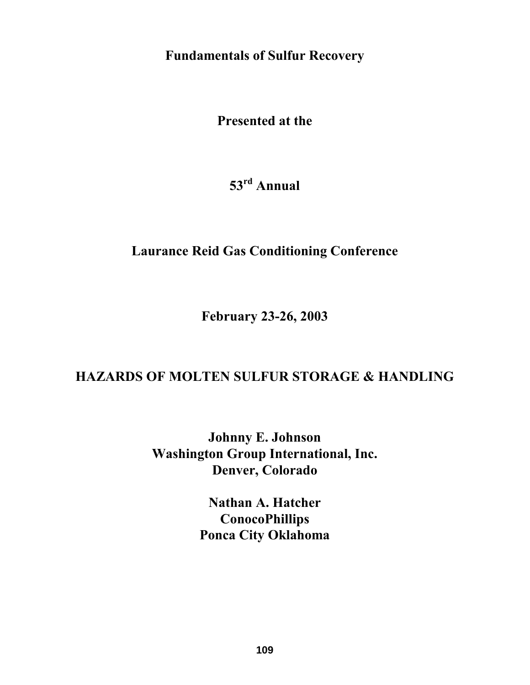**Fundamentals of Sulfur Recovery** 

**Presented at the** 

**53rd Annual** 

# **Laurance Reid Gas Conditioning Conference**

**February 23-26, 2003** 

# **HAZARDS OF MOLTEN SULFUR STORAGE & HANDLING**

**Johnny E. Johnson Washington Group International, Inc. Denver, Colorado** 

> **Nathan A. Hatcher ConocoPhillips Ponca City Oklahoma**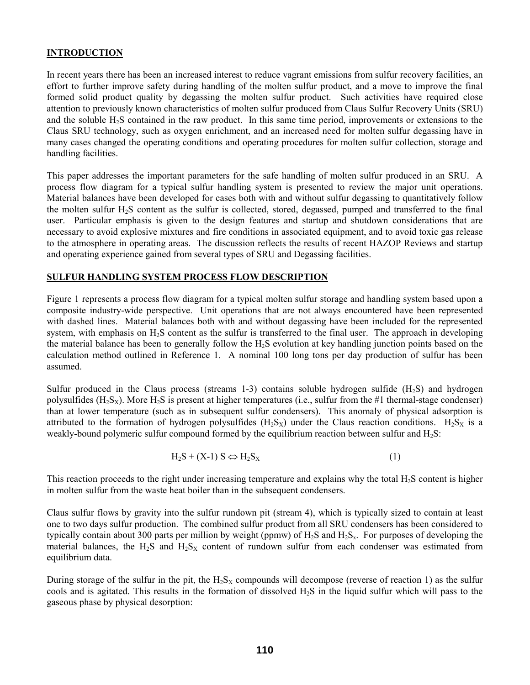#### **INTRODUCTION**

In recent years there has been an increased interest to reduce vagrant emissions from sulfur recovery facilities, an effort to further improve safety during handling of the molten sulfur product, and a move to improve the final formed solid product quality by degassing the molten sulfur product. Such activities have required close attention to previously known characteristics of molten sulfur produced from Claus Sulfur Recovery Units (SRU) and the soluble H2S contained in the raw product. In this same time period, improvements or extensions to the Claus SRU technology, such as oxygen enrichment, and an increased need for molten sulfur degassing have in many cases changed the operating conditions and operating procedures for molten sulfur collection, storage and handling facilities.

This paper addresses the important parameters for the safe handling of molten sulfur produced in an SRU. A process flow diagram for a typical sulfur handling system is presented to review the major unit operations. Material balances have been developed for cases both with and without sulfur degassing to quantitatively follow the molten sulfur H<sub>2</sub>S content as the sulfur is collected, stored, degassed, pumped and transferred to the final user. Particular emphasis is given to the design features and startup and shutdown considerations that are necessary to avoid explosive mixtures and fire conditions in associated equipment, and to avoid toxic gas release to the atmosphere in operating areas. The discussion reflects the results of recent HAZOP Reviews and startup and operating experience gained from several types of SRU and Degassing facilities.

#### **SULFUR HANDLING SYSTEM PROCESS FLOW DESCRIPTION**

Figure 1 represents a process flow diagram for a typical molten sulfur storage and handling system based upon a composite industry-wide perspective. Unit operations that are not always encountered have been represented with dashed lines. Material balances both with and without degassing have been included for the represented system, with emphasis on H<sub>2</sub>S content as the sulfur is transferred to the final user. The approach in developing the material balance has been to generally follow the  $H<sub>2</sub>S$  evolution at key handling junction points based on the calculation method outlined in Reference 1. A nominal 100 long tons per day production of sulfur has been assumed.

Sulfur produced in the Claus process (streams 1-3) contains soluble hydrogen sulfide (H2S) and hydrogen polysulfides  $(H_2S_x)$ . More  $H_2S$  is present at higher temperatures (i.e., sulfur from the #1 thermal-stage condenser) than at lower temperature (such as in subsequent sulfur condensers). This anomaly of physical adsorption is attributed to the formation of hydrogen polysulfides  $(H_2S_X)$  under the Claus reaction conditions.  $H_2S_X$  is a weakly-bound polymeric sulfur compound formed by the equilibrium reaction between sulfur and  $H_2S$ :

$$
H_2S + (X-1)S \Leftrightarrow H_2S_X \tag{1}
$$

This reaction proceeds to the right under increasing temperature and explains why the total H2S content is higher in molten sulfur from the waste heat boiler than in the subsequent condensers.

Claus sulfur flows by gravity into the sulfur rundown pit (stream 4), which is typically sized to contain at least one to two days sulfur production. The combined sulfur product from all SRU condensers has been considered to typically contain about 300 parts per million by weight (ppmw) of  $H_2S$  and  $H_2S_x$ . For purposes of developing the material balances, the  $H_2S$  and  $H_2S$ <sub>X</sub> content of rundown sulfur from each condenser was estimated from equilibrium data.

During storage of the sulfur in the pit, the  $H_2S_X$  compounds will decompose (reverse of reaction 1) as the sulfur cools and is agitated. This results in the formation of dissolved  $H_2S$  in the liquid sulfur which will pass to the gaseous phase by physical desorption: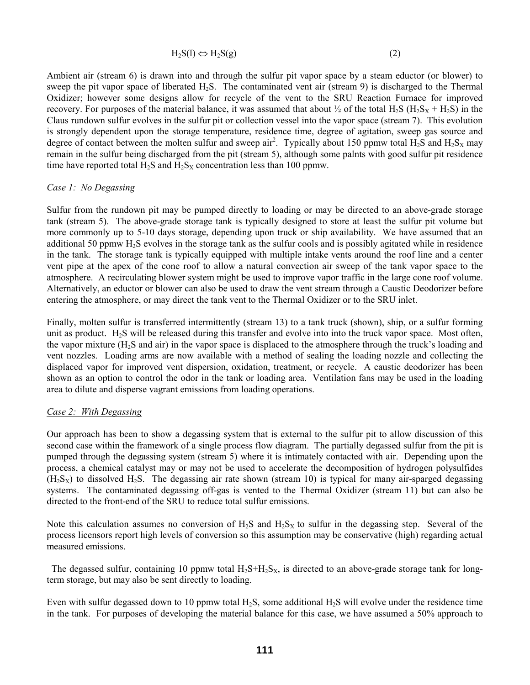$$
H_2S(l) \Leftrightarrow H_2S(g) \tag{2}
$$

Ambient air (stream 6) is drawn into and through the sulfur pit vapor space by a steam eductor (or blower) to sweep the pit vapor space of liberated H2S. The contaminated vent air (stream 9) is discharged to the Thermal Oxidizer; however some designs allow for recycle of the vent to the SRU Reaction Furnace for improved recovery. For purposes of the material balance, it was assumed that about  $\frac{1}{2}$  of the total H<sub>2</sub>S (H<sub>2</sub>S<sub>X</sub> + H<sub>2</sub>S) in the Claus rundown sulfur evolves in the sulfur pit or collection vessel into the vapor space (stream 7). This evolution is strongly dependent upon the storage temperature, residence time, degree of agitation, sweep gas source and degree of contact between the molten sulfur and sweep air<sup>2</sup>. Typically about 150 ppmw total  $H_2S$  and  $H_2S$ <sub>X</sub> may remain in the sulfur being discharged from the pit (stream 5), although some palnts with good sulfur pit residence time have reported total  $H_2S$  and  $H_2S_X$  concentration less than 100 ppmw.

#### *Case 1: No Degassing*

Sulfur from the rundown pit may be pumped directly to loading or may be directed to an above-grade storage tank (stream 5). The above-grade storage tank is typically designed to store at least the sulfur pit volume but more commonly up to 5-10 days storage, depending upon truck or ship availability. We have assumed that an additional 50 ppmw H2S evolves in the storage tank as the sulfur cools and is possibly agitated while in residence in the tank. The storage tank is typically equipped with multiple intake vents around the roof line and a center vent pipe at the apex of the cone roof to allow a natural convection air sweep of the tank vapor space to the atmosphere. A recirculating blower system might be used to improve vapor traffic in the large cone roof volume. Alternatively, an eductor or blower can also be used to draw the vent stream through a Caustic Deodorizer before entering the atmosphere, or may direct the tank vent to the Thermal Oxidizer or to the SRU inlet.

Finally, molten sulfur is transferred intermittently (stream 13) to a tank truck (shown), ship, or a sulfur forming unit as product.  $H_2S$  will be released during this transfer and evolve into into the truck vapor space. Most often, the vapor mixture  $(H<sub>2</sub>S$  and air) in the vapor space is displaced to the atmosphere through the truck's loading and vent nozzles. Loading arms are now available with a method of sealing the loading nozzle and collecting the displaced vapor for improved vent dispersion, oxidation, treatment, or recycle. A caustic deodorizer has been shown as an option to control the odor in the tank or loading area. Ventilation fans may be used in the loading area to dilute and disperse vagrant emissions from loading operations.

#### *Case 2: With Degassing*

Our approach has been to show a degassing system that is external to the sulfur pit to allow discussion of this second case within the framework of a single process flow diagram. The partially degassed sulfur from the pit is pumped through the degassing system (stream 5) where it is intimately contacted with air. Depending upon the process, a chemical catalyst may or may not be used to accelerate the decomposition of hydrogen polysulfides  $(H<sub>2</sub>S<sub>X</sub>)$  to dissolved H<sub>2</sub>S. The degassing air rate shown (stream 10) is typical for many air-sparged degassing systems. The contaminated degassing off-gas is vented to the Thermal Oxidizer (stream 11) but can also be directed to the front-end of the SRU to reduce total sulfur emissions.

Note this calculation assumes no conversion of  $H_2S$  and  $H_2S$ <sub>X</sub> to sulfur in the degassing step. Several of the process licensors report high levels of conversion so this assumption may be conservative (high) regarding actual measured emissions.

The degassed sulfur, containing 10 ppmw total  $H_2S+H_2S_X$ , is directed to an above-grade storage tank for longterm storage, but may also be sent directly to loading.

Even with sulfur degassed down to 10 ppmw total  $H_2S$ , some additional  $H_2S$  will evolve under the residence time in the tank. For purposes of developing the material balance for this case, we have assumed a 50% approach to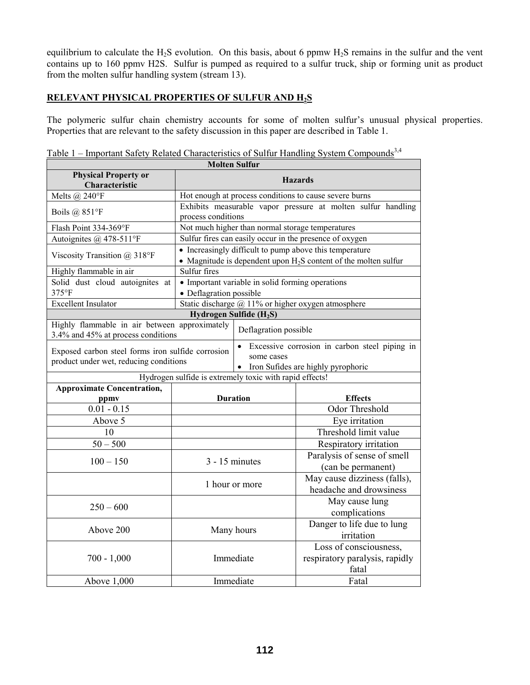equilibrium to calculate the H<sub>2</sub>S evolution. On this basis, about 6 ppmw H<sub>2</sub>S remains in the sulfur and the vent contains up to 160 ppmv H2S. Sulfur is pumped as required to a sulfur truck, ship or forming unit as product from the molten sulfur handling system (stream 13).

## **RELEVANT PHYSICAL PROPERTIES OF SULFUR AND H2S**

The polymeric sulfur chain chemistry accounts for some of molten sulfur's unusual physical properties. Properties that are relevant to the safety discussion in this paper are described in Table 1.

|  |  | Table 1 – Important Safety Related Characteristics of Sulfur Handling System Compounds <sup>3,4</sup> |  |  |  |
|--|--|-------------------------------------------------------------------------------------------------------|--|--|--|
|--|--|-------------------------------------------------------------------------------------------------------|--|--|--|

| <b>Molten Sulfur</b>                                                                                                                                                                                            |                                                        |                                                  |                                                                                                                              |
|-----------------------------------------------------------------------------------------------------------------------------------------------------------------------------------------------------------------|--------------------------------------------------------|--------------------------------------------------|------------------------------------------------------------------------------------------------------------------------------|
| <b>Physical Property or</b><br><b>Hazards</b>                                                                                                                                                                   |                                                        |                                                  |                                                                                                                              |
| Characteristic                                                                                                                                                                                                  |                                                        |                                                  |                                                                                                                              |
| Melts $(a)$ 240°F                                                                                                                                                                                               | Hot enough at process conditions to cause severe burns |                                                  |                                                                                                                              |
| Boils $(a)$ 851°F                                                                                                                                                                                               | process conditions                                     |                                                  | Exhibits measurable vapor pressure at molten sulfur handling                                                                 |
| Flash Point 334-369°F                                                                                                                                                                                           |                                                        | Not much higher than normal storage temperatures |                                                                                                                              |
| Autoignites @ 478-511°F                                                                                                                                                                                         |                                                        |                                                  | Sulfur fires can easily occur in the presence of oxygen                                                                      |
| Viscosity Transition @ 318°F                                                                                                                                                                                    |                                                        |                                                  | • Increasingly difficult to pump above this temperature<br>• Magnitude is dependent upon $H_2S$ content of the molten sulfur |
| Highly flammable in air                                                                                                                                                                                         | Sulfur fires                                           |                                                  |                                                                                                                              |
| Solid dust cloud autoignites at                                                                                                                                                                                 |                                                        | • Important variable in solid forming operations |                                                                                                                              |
| 375°F                                                                                                                                                                                                           | • Deflagration possible                                |                                                  |                                                                                                                              |
| <b>Excellent Insulator</b>                                                                                                                                                                                      |                                                        |                                                  | Static discharge $@11%$ or higher oxygen atmosphere                                                                          |
|                                                                                                                                                                                                                 |                                                        | Hydrogen Sulfide (H <sub>2</sub> S)              |                                                                                                                              |
| Highly flammable in air between approximately<br>3.4% and 45% at process conditions                                                                                                                             |                                                        | Deflagration possible                            |                                                                                                                              |
| Excessive corrosion in carbon steel piping in<br>$\bullet$<br>Exposed carbon steel forms iron sulfide corrosion<br>some cases<br>product under wet, reducing conditions<br>• Iron Sufides are highly pyrophoric |                                                        |                                                  |                                                                                                                              |
| Hydrogen sulfide is extremely toxic with rapid effects!                                                                                                                                                         |                                                        |                                                  |                                                                                                                              |
| <b>Approximate Concentration,</b>                                                                                                                                                                               |                                                        |                                                  |                                                                                                                              |
| ppmy                                                                                                                                                                                                            |                                                        | <b>Duration</b>                                  | <b>Effects</b>                                                                                                               |
| $0.01 - 0.15$                                                                                                                                                                                                   |                                                        |                                                  | <b>Odor Threshold</b>                                                                                                        |
| Above 5                                                                                                                                                                                                         |                                                        |                                                  | Eye irritation                                                                                                               |
| 10                                                                                                                                                                                                              |                                                        |                                                  | Threshold limit value                                                                                                        |
| $50 - 500$                                                                                                                                                                                                      |                                                        |                                                  | Respiratory irritation                                                                                                       |
| $100 - 150$                                                                                                                                                                                                     |                                                        | $3 - 15$ minutes                                 | Paralysis of sense of smell<br>(can be permanent)                                                                            |
|                                                                                                                                                                                                                 | 1 hour or more                                         |                                                  | May cause dizziness (falls),                                                                                                 |
|                                                                                                                                                                                                                 |                                                        |                                                  | headache and drowsiness                                                                                                      |
| $250 - 600$                                                                                                                                                                                                     |                                                        |                                                  | May cause lung<br>complications                                                                                              |
| Above 200                                                                                                                                                                                                       | Many hours                                             |                                                  | Danger to life due to lung<br>irritation                                                                                     |
| $700 - 1,000$                                                                                                                                                                                                   | Immediate                                              |                                                  | Loss of consciousness,<br>respiratory paralysis, rapidly<br>fatal                                                            |
| Above 1,000                                                                                                                                                                                                     |                                                        | Immediate                                        | Fatal                                                                                                                        |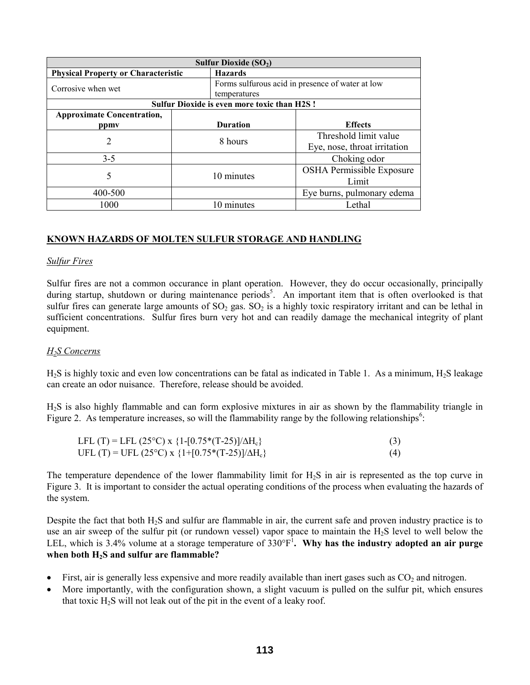| Sulfur Dioxide $(SO2)$                     |  |                                                    |                                                  |
|--------------------------------------------|--|----------------------------------------------------|--------------------------------------------------|
| <b>Physical Property or Characteristic</b> |  | <b>Hazards</b>                                     |                                                  |
| Corrosive when wet                         |  |                                                    | Forms sulfurous acid in presence of water at low |
|                                            |  | temperatures                                       |                                                  |
|                                            |  | <b>Sulfur Dioxide is even more toxic than H2S!</b> |                                                  |
| <b>Approximate Concentration,</b>          |  |                                                    |                                                  |
| ppmy                                       |  | <b>Duration</b>                                    | <b>Effects</b>                                   |
| 2                                          |  | 8 hours                                            | Threshold limit value                            |
|                                            |  |                                                    | Eye, nose, throat irritation                     |
| $3 - 5$                                    |  |                                                    | Choking odor                                     |
| 5                                          |  |                                                    | <b>OSHA Permissible Exposure</b>                 |
|                                            |  | 10 minutes                                         | Limit                                            |
| 400-500                                    |  |                                                    | Eye burns, pulmonary edema                       |
| 1000                                       |  | 10 minutes                                         | Lethal                                           |

## **KNOWN HAZARDS OF MOLTEN SULFUR STORAGE AND HANDLING**

#### *Sulfur Fires*

Sulfur fires are not a common occurance in plant operation. However, they do occur occasionally, principally during startup, shutdown or during maintenance periods<sup>5</sup>. An important item that is often overlooked is that sulfur fires can generate large amounts of  $SO_2$  gas.  $SO_2$  is a highly toxic respiratory irritant and can be lethal in sufficient concentrations. Sulfur fires burn very hot and can readily damage the mechanical integrity of plant equipment.

#### *H2S Concerns*

 $H_2S$  is highly toxic and even low concentrations can be fatal as indicated in Table 1. As a minimum,  $H_2S$  leakage can create an odor nuisance. Therefore, release should be avoided.

H2S is also highly flammable and can form explosive mixtures in air as shown by the flammability triangle in Figure 2. As temperature increases, so will the flammability range by the following relationships<sup>6</sup>:

| LFL (T) = LFL (25°C) x {1-[0.75*(T-25)]/ $\Delta H_c$ } | (3) |
|---------------------------------------------------------|-----|
| UFL (T) = UFL (25°C) x {1+[0.75*(T-25)]/ $\Delta H_c$ } | (4) |

The temperature dependence of the lower flammability limit for  $H_2S$  in air is represented as the top curve in Figure 3. It is important to consider the actual operating conditions of the process when evaluating the hazards of the system.

Despite the fact that both  $H_2S$  and sulfur are flammable in air, the current safe and proven industry practice is to use an air sweep of the sulfur pit (or rundown vessel) vapor space to maintain the H<sub>2</sub>S level to well below the LEL, which is 3.4% volume at a storage temperature of  $330^{\circ}F^1$ . Why has the industry adopted an air purge **when both H2S and sulfur are flammable?** 

- First, air is generally less expensive and more readily available than inert gases such as  $CO<sub>2</sub>$  and nitrogen.
- More importantly, with the configuration shown, a slight vacuum is pulled on the sulfur pit, which ensures that toxic  $H_2S$  will not leak out of the pit in the event of a leaky roof.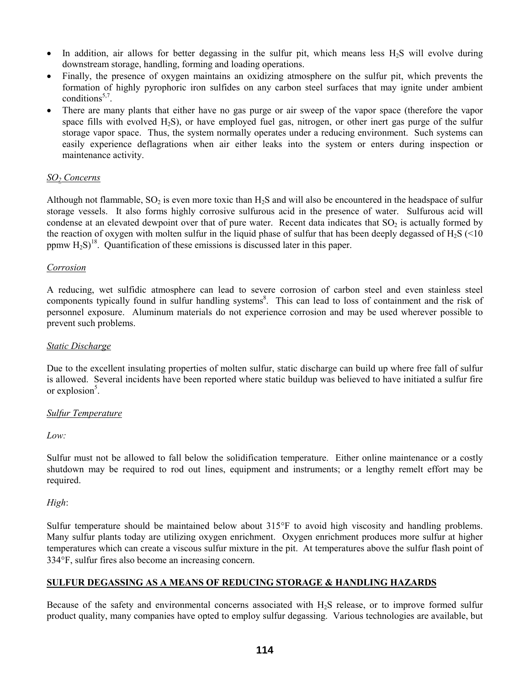- In addition, air allows for better degassing in the sulfur pit, which means less  $H_2S$  will evolve during downstream storage, handling, forming and loading operations.
- Finally, the presence of oxygen maintains an oxidizing atmosphere on the sulfur pit, which prevents the formation of highly pyrophoric iron sulfides on any carbon steel surfaces that may ignite under ambient conditions<sup>5,7</sup>
- There are many plants that either have no gas purge or air sweep of the vapor space (therefore the vapor space fills with evolved  $H_2S$ ), or have employed fuel gas, nitrogen, or other inert gas purge of the sulfur storage vapor space. Thus, the system normally operates under a reducing environment. Such systems can easily experience deflagrations when air either leaks into the system or enters during inspection or maintenance activity.

#### *SO2 Concerns*

Although not flammable,  $SO_2$  is even more toxic than  $H_2S$  and will also be encountered in the headspace of sulfur storage vessels. It also forms highly corrosive sulfurous acid in the presence of water. Sulfurous acid will condense at an elevated dewpoint over that of pure water. Recent data indicates that  $SO<sub>2</sub>$  is actually formed by the reaction of oxygen with molten sulfur in the liquid phase of sulfur that has been deeply degassed of  $H_2S$  (<10 ppmw  $H_2S$ <sup>18</sup>. Quantification of these emissions is discussed later in this paper.

#### *Corrosion*

A reducing, wet sulfidic atmosphere can lead to severe corrosion of carbon steel and even stainless steel components typically found in sulfur handling systems<sup>8</sup>. This can lead to loss of containment and the risk of personnel exposure. Aluminum materials do not experience corrosion and may be used wherever possible to prevent such problems.

#### *Static Discharge*

Due to the excellent insulating properties of molten sulfur, static discharge can build up where free fall of sulfur is allowed. Several incidents have been reported where static buildup was believed to have initiated a sulfur fire or explosion $5$ .

#### *Sulfur Temperature*

*Low:* 

Sulfur must not be allowed to fall below the solidification temperature. Either online maintenance or a costly shutdown may be required to rod out lines, equipment and instruments; or a lengthy remelt effort may be required.

*High*:

Sulfur temperature should be maintained below about 315°F to avoid high viscosity and handling problems. Many sulfur plants today are utilizing oxygen enrichment. Oxygen enrichment produces more sulfur at higher temperatures which can create a viscous sulfur mixture in the pit. At temperatures above the sulfur flash point of 334°F, sulfur fires also become an increasing concern.

#### **SULFUR DEGASSING AS A MEANS OF REDUCING STORAGE & HANDLING HAZARDS**

Because of the safety and environmental concerns associated with H<sub>2</sub>S release, or to improve formed sulfur product quality, many companies have opted to employ sulfur degassing. Various technologies are available, but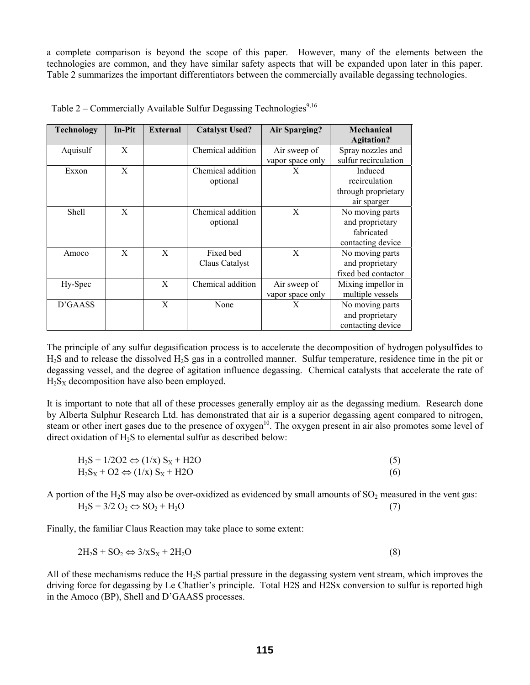a complete comparison is beyond the scope of this paper. However, many of the elements between the technologies are common, and they have similar safety aspects that will be expanded upon later in this paper. Table 2 summarizes the important differentiators between the commercially available degassing technologies.

| <b>Technology</b> | In-Pit | <b>External</b> | <b>Catalyst Used?</b> | <b>Air Sparging?</b> | Mechanical<br><b>Agitation?</b> |
|-------------------|--------|-----------------|-----------------------|----------------------|---------------------------------|
| Aquisulf          | X      |                 | Chemical addition     | Air sweep of         | Spray nozzles and               |
|                   |        |                 |                       | vapor space only     | sulfur recirculation            |
| Exxon             | X      |                 | Chemical addition     | X                    | Induced                         |
|                   |        |                 | optional              |                      | recirculation                   |
|                   |        |                 |                       |                      | through proprietary             |
|                   |        |                 |                       |                      | air sparger                     |
| Shell             | X      |                 | Chemical addition     | X                    | No moving parts                 |
|                   |        |                 | optional              |                      | and proprietary                 |
|                   |        |                 |                       |                      | fabricated                      |
|                   |        |                 |                       |                      | contacting device               |
| Amoco             | X      | X               | Fixed bed             | X                    | No moving parts                 |
|                   |        |                 | Claus Catalyst        |                      | and proprietary                 |
|                   |        |                 |                       |                      | fixed bed contactor             |
| Hy-Spec           |        | X               | Chemical addition     | Air sweep of         | Mixing impellor in              |
|                   |        |                 |                       | vapor space only     | multiple vessels                |
| D'GAASS           |        | X               | None                  | X                    | No moving parts                 |
|                   |        |                 |                       |                      | and proprietary                 |
|                   |        |                 |                       |                      | contacting device               |

Table  $2$  – Commercially Available Sulfur Degassing Technologies<sup>9,16</sup>

The principle of any sulfur degasification process is to accelerate the decomposition of hydrogen polysulfides to H2S and to release the dissolved H2S gas in a controlled manner. Sulfur temperature, residence time in the pit or degassing vessel, and the degree of agitation influence degassing. Chemical catalysts that accelerate the rate of  $H_2S_X$  decomposition have also been employed.

It is important to note that all of these processes generally employ air as the degassing medium. Research done by Alberta Sulphur Research Ltd. has demonstrated that air is a superior degassing agent compared to nitrogen, steam or other inert gases due to the presence of oxygen<sup>10</sup>. The oxygen present in air also promotes some level of direct oxidation of H2S to elemental sulfur as described below:

| $H_2S + 1/2O2 \Leftrightarrow (1/x) S_X + H2O$ |     |
|------------------------------------------------|-----|
| $H_2S_X + O2 \Leftrightarrow (1/x) S_X + H2O$  | (6) |

A portion of the H<sub>2</sub>S may also be over-oxidized as evidenced by small amounts of  $SO_2$  measured in the vent gas:  $H_2S + 3/2 O_2 \Leftrightarrow SO_2 + H_2O$  (7)

Finally, the familiar Claus Reaction may take place to some extent:

$$
2H_2S + SO_2 \Leftrightarrow 3/xS_X + 2H_2O \tag{8}
$$

All of these mechanisms reduce the H2S partial pressure in the degassing system vent stream, which improves the driving force for degassing by Le Chatlier's principle. Total H2S and H2Sx conversion to sulfur is reported high in the Amoco (BP), Shell and D'GAASS processes.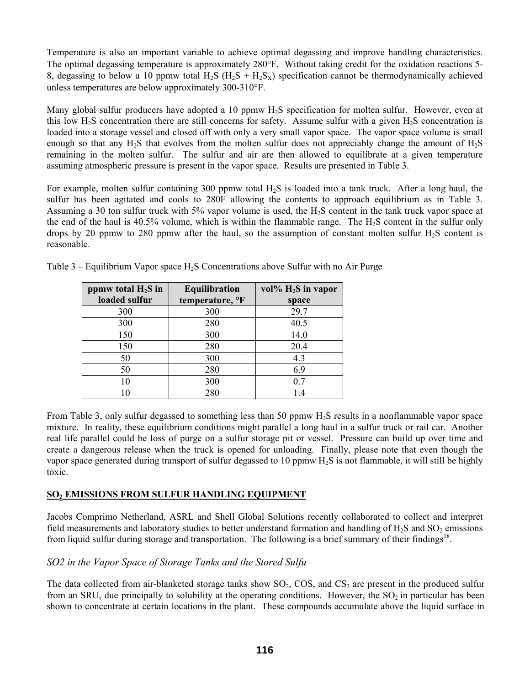Temperature is also an important variable to achieve optimal degassing and improve handling characteristics. The optimal degassing temperature is approximately 280°F. Without taking credit for the oxidation reactions 5- 8, degassing to below a 10 ppmw total H<sub>2</sub>S (H<sub>2</sub>S + H<sub>2</sub>S<sub>X</sub>) specification cannot be thermodynamically achieved unless temperatures are below approximately 300-310°F.

Many global sulfur producers have adopted a 10 ppmw H<sub>2</sub>S specification for molten sulfur. However, even at this low H2S concentration there are still concerns for safety. Assume sulfur with a given H2S concentration is loaded into a storage vessel and closed off with only a very small vapor space. The vapor space volume is small enough so that any H<sub>2</sub>S that evolves from the molten sulfur does not appreciably change the amount of H<sub>2</sub>S remaining in the molten sulfur. The sulfur and air are then allowed to equilibrate at a given temperature assuming atmospheric pressure is present in the vapor space. Results are presented in Table 3.

For example, molten sulfur containing 300 ppmw total H<sub>2</sub>S is loaded into a tank truck. After a long haul, the sulfur has been agitated and cools to 280F allowing the contents to approach equilibrium as in Table 3. Assuming a 30 ton sulfur truck with 5% vapor volume is used, the H2S content in the tank truck vapor space at the end of the haul is  $40.5\%$  volume, which is within the flammable range. The H<sub>2</sub>S content in the sulfur only drops by 20 ppmw to 280 ppmw after the haul, so the assumption of constant molten sulfur  $H_2S$  content is reasonable.

| ppmw total $H_2S$ in | <b>Equilibration</b> | vol% $H_2S$ in vapor |
|----------------------|----------------------|----------------------|
| loaded sulfur        | temperature, °F      | space                |
| 300                  | 300                  | 29.7                 |
| 300                  | 280                  | 40.5                 |
| 150                  | 300                  | 14.0                 |
| 150                  | 280                  | 20.4                 |
| 50                   | 300                  | 4.3                  |
| 50                   | 280                  | 6.9                  |
| 10                   | 300                  | 0.7                  |
|                      | 280                  | 14                   |

Table  $3$  – Equilibrium Vapor space H<sub>2</sub>S Concentrations above Sulfur with no Air Purge

From Table 3, only sulfur degassed to something less than 50 ppmw H2S results in a nonflammable vapor space mixture. In reality, these equilibrium conditions might parallel a long haul in a sulfur truck or rail car. Another real life parallel could be loss of purge on a sulfur storage pit or vessel. Pressure can build up over time and create a dangerous release when the truck is opened for unloading. Finally, please note that even though the vapor space generated during transport of sulfur degassed to 10 ppmw H2S is not flammable, it will still be highly toxic.

## **SO2 EMISSIONS FROM SULFUR HANDLING EQUIPMENT**

Jacobs Comprimo Netherland, ASRL and Shell Global Solutions recently collaborated to collect and interpret field measurements and laboratory studies to better understand formation and handling of  $H_2S$  and  $SO_2$  emissions from liquid sulfur during storage and transportation. The following is a brief summary of their findings<sup>18</sup>.

## *SO2 in the Vapor Space of Storage Tanks and the Stored Sulfu*

The data collected from air-blanketed storage tanks show  $SO_2$ , COS, and  $CS_2$  are present in the produced sulfur from an SRU, due principally to solubility at the operating conditions. However, the  $SO<sub>2</sub>$  in particular has been shown to concentrate at certain locations in the plant. These compounds accumulate above the liquid surface in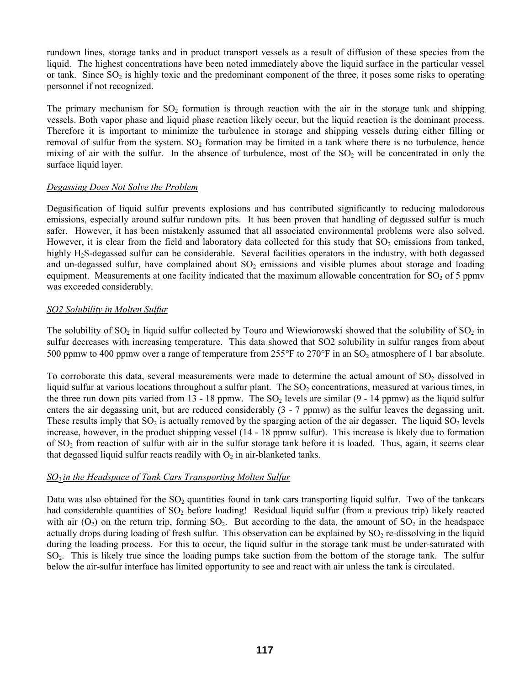rundown lines, storage tanks and in product transport vessels as a result of diffusion of these species from the liquid. The highest concentrations have been noted immediately above the liquid surface in the particular vessel or tank. Since  $SO_2$  is highly toxic and the predominant component of the three, it poses some risks to operating personnel if not recognized.

The primary mechanism for  $SO_2$  formation is through reaction with the air in the storage tank and shipping vessels. Both vapor phase and liquid phase reaction likely occur, but the liquid reaction is the dominant process. Therefore it is important to minimize the turbulence in storage and shipping vessels during either filling or removal of sulfur from the system.  $SO_2$  formation may be limited in a tank where there is no turbulence, hence mixing of air with the sulfur. In the absence of turbulence, most of the  $SO<sub>2</sub>$  will be concentrated in only the surface liquid layer.

#### *Degassing Does Not Solve the Problem*

Degasification of liquid sulfur prevents explosions and has contributed significantly to reducing malodorous emissions, especially around sulfur rundown pits. It has been proven that handling of degassed sulfur is much safer. However, it has been mistakenly assumed that all associated environmental problems were also solved. However, it is clear from the field and laboratory data collected for this study that  $SO_2$  emissions from tanked, highly H<sub>2</sub>S-degassed sulfur can be considerable. Several facilities operators in the industry, with both degassed and un-degassed sulfur, have complained about  $SO<sub>2</sub>$  emissions and visible plumes about storage and loading equipment. Measurements at one facility indicated that the maximum allowable concentration for  $SO_2$  of 5 ppmv was exceeded considerably.

#### *SO2 Solubility in Molten Sulfur*

The solubility of  $SO_2$  in liquid sulfur collected by Touro and Wiewiorowski showed that the solubility of  $SO_2$  in sulfur decreases with increasing temperature. This data showed that SO2 solubility in sulfur ranges from about 500 ppmw to 400 ppmw over a range of temperature from  $255^{\circ}$ F to  $270^{\circ}$ F in an SO<sub>2</sub> atmosphere of 1 bar absolute.

To corroborate this data, several measurements were made to determine the actual amount of  $SO<sub>2</sub>$  dissolved in liquid sulfur at various locations throughout a sulfur plant. The  $SO<sub>2</sub>$  concentrations, measured at various times, in the three run down pits varied from 13 - 18 ppmw. The  $SO<sub>2</sub>$  levels are similar (9 - 14 ppmw) as the liquid sulfur enters the air degassing unit, but are reduced considerably (3 - 7 ppmw) as the sulfur leaves the degassing unit. These results imply that  $SO_2$  is actually removed by the sparging action of the air degasser. The liquid  $SO_2$  levels increase, however, in the product shipping vessel (14 - 18 ppmw sulfur). This increase is likely due to formation of  $SO<sub>2</sub>$  from reaction of sulfur with air in the sulfur storage tank before it is loaded. Thus, again, it seems clear that degassed liquid sulfur reacts readily with  $O_2$  in air-blanketed tanks.

## *SO<sub>2</sub> in the Headspace of Tank Cars Transporting Molten Sulfur*

Data was also obtained for the  $SO<sub>2</sub>$  quantities found in tank cars transporting liquid sulfur. Two of the tankcars had considerable quantities of SO<sub>2</sub> before loading! Residual liquid sulfur (from a previous trip) likely reacted with air  $(O_2)$  on the return trip, forming  $SO_2$ . But according to the data, the amount of  $SO_2$  in the headspace actually drops during loading of fresh sulfur. This observation can be explained by  $SO_2$  re-dissolving in the liquid during the loading process. For this to occur, the liquid sulfur in the storage tank must be under-saturated with SO2. This is likely true since the loading pumps take suction from the bottom of the storage tank. The sulfur below the air-sulfur interface has limited opportunity to see and react with air unless the tank is circulated.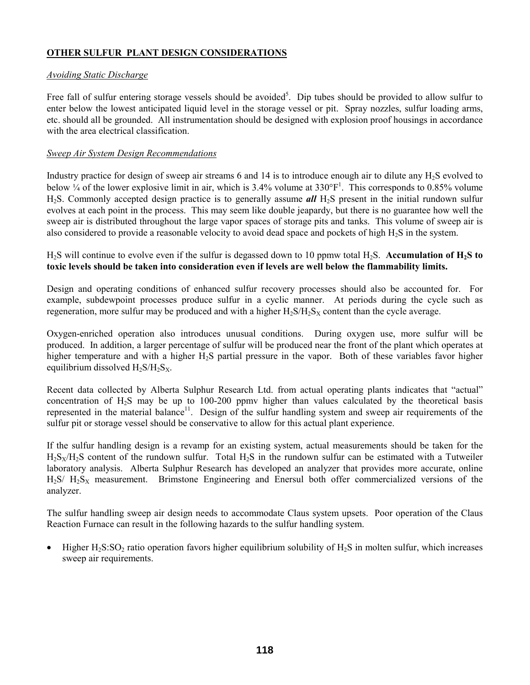## **OTHER SULFUR PLANT DESIGN CONSIDERATIONS**

## *Avoiding Static Discharge*

Free fall of sulfur entering storage vessels should be avoided<sup>5</sup>. Dip tubes should be provided to allow sulfur to enter below the lowest anticipated liquid level in the storage vessel or pit. Spray nozzles, sulfur loading arms, etc. should all be grounded. All instrumentation should be designed with explosion proof housings in accordance with the area electrical classification.

## *Sweep Air System Design Recommendations*

Industry practice for design of sweep air streams 6 and 14 is to introduce enough air to dilute any H<sub>2</sub>S evolved to below  $\frac{1}{4}$  of the lower explosive limit in air, which is 3.4% volume at 330°F<sup>1</sup>. This corresponds to 0.85% volume H2S. Commonly accepted design practice is to generally assume *all* H2S present in the initial rundown sulfur evolves at each point in the process. This may seem like double jeapardy, but there is no guarantee how well the sweep air is distributed throughout the large vapor spaces of storage pits and tanks. This volume of sweep air is also considered to provide a reasonable velocity to avoid dead space and pockets of high  $H_2S$  in the system.

H2S will continue to evolve even if the sulfur is degassed down to 10 ppmw total H2S. **Accumulation of H2S to toxic levels should be taken into consideration even if levels are well below the flammability limits.**

Design and operating conditions of enhanced sulfur recovery processes should also be accounted for. For example, subdewpoint processes produce sulfur in a cyclic manner. At periods during the cycle such as regeneration, more sulfur may be produced and with a higher  $H_2S/H_2S_X$  content than the cycle average.

Oxygen-enriched operation also introduces unusual conditions. During oxygen use, more sulfur will be produced. In addition, a larger percentage of sulfur will be produced near the front of the plant which operates at higher temperature and with a higher H<sub>2</sub>S partial pressure in the vapor. Both of these variables favor higher equilibrium dissolved  $H_2S/H_2S_X$ .

Recent data collected by Alberta Sulphur Research Ltd. from actual operating plants indicates that "actual" concentration of  $H_2S$  may be up to 100-200 ppmy higher than values calculated by the theoretical basis represented in the material balance<sup>11</sup>. Design of the sulfur handling system and sweep air requirements of the sulfur pit or storage vessel should be conservative to allow for this actual plant experience.

If the sulfur handling design is a revamp for an existing system, actual measurements should be taken for the  $H_2S_X/H_2S$  content of the rundown sulfur. Total  $H_2S$  in the rundown sulfur can be estimated with a Tutweiler laboratory analysis. Alberta Sulphur Research has developed an analyzer that provides more accurate, online  $H_2S/H_2S_X$  measurement. Brimstone Engineering and Enersul both offer commercialized versions of the analyzer.

The sulfur handling sweep air design needs to accommodate Claus system upsets. Poor operation of the Claus Reaction Furnace can result in the following hazards to the sulfur handling system.

• Higher  $H_2S:SO_2$  ratio operation favors higher equilibrium solubility of  $H_2S$  in molten sulfur, which increases sweep air requirements.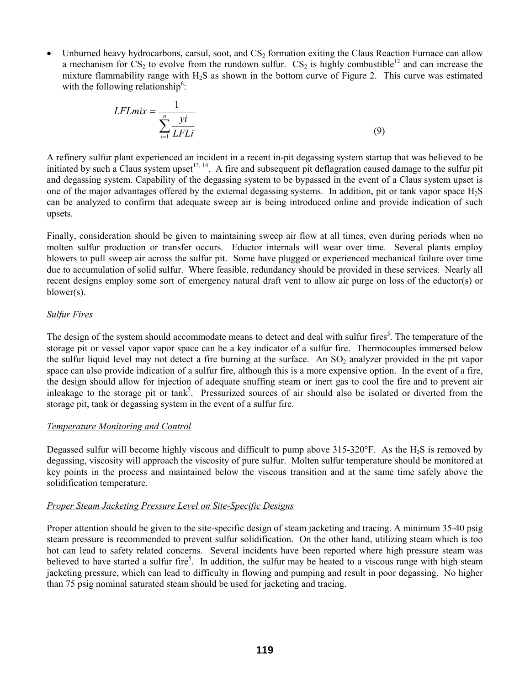Unburned heavy hydrocarbons, carsul, soot, and CS<sub>2</sub> formation exiting the Claus Reaction Furnace can allow a mechanism for  $CS_2$  to evolve from the rundown sulfur.  $CS_2$  is highly combustible<sup>12</sup> and can increase the mixture flammability range with H2S as shown in the bottom curve of Figure 2. This curve was estimated with the following relationship<sup>6</sup>:

$$
LFLmix = \frac{1}{\sum_{i=1}^{n} \frac{yi}{LFLi}}
$$
(9)

A refinery sulfur plant experienced an incident in a recent in-pit degassing system startup that was believed to be initiated by such a Claus system upset<sup>13, 14</sup>. A fire and subsequent pit deflagration caused damage to the sulfur pit and degassing system. Capability of the degassing system to be bypassed in the event of a Claus system upset is one of the major advantages offered by the external degassing systems. In addition, pit or tank vapor space H2S can be analyzed to confirm that adequate sweep air is being introduced online and provide indication of such upsets.

Finally, consideration should be given to maintaining sweep air flow at all times, even during periods when no molten sulfur production or transfer occurs. Eductor internals will wear over time. Several plants employ blowers to pull sweep air across the sulfur pit. Some have plugged or experienced mechanical failure over time due to accumulation of solid sulfur. Where feasible, redundancy should be provided in these services. Nearly all recent designs employ some sort of emergency natural draft vent to allow air purge on loss of the eductor(s) or blower(s).

#### *Sulfur Fires*

The design of the system should accommodate means to detect and deal with sulfur fires<sup>5</sup>. The temperature of the storage pit or vessel vapor vapor space can be a key indicator of a sulfur fire. Thermocouples immersed below the sulfur liquid level may not detect a fire burning at the surface. An  $SO_2$  analyzer provided in the pit vapor space can also provide indication of a sulfur fire, although this is a more expensive option. In the event of a fire, the design should allow for injection of adequate snuffing steam or inert gas to cool the fire and to prevent air inleakage to the storage pit or tank<sup>5</sup>. Pressurized sources of air should also be isolated or diverted from the storage pit, tank or degassing system in the event of a sulfur fire.

## *Temperature Monitoring and Control*

Degassed sulfur will become highly viscous and difficult to pump above  $315{\text -}320^{\circ}$ F. As the H<sub>2</sub>S is removed by degassing, viscosity will approach the viscosity of pure sulfur. Molten sulfur temperature should be monitored at key points in the process and maintained below the viscous transition and at the same time safely above the solidification temperature.

#### *Proper Steam Jacketing Pressure Level on Site-Specific Designs*

Proper attention should be given to the site-specific design of steam jacketing and tracing. A minimum 35-40 psig steam pressure is recommended to prevent sulfur solidification. On the other hand, utilizing steam which is too hot can lead to safety related concerns. Several incidents have been reported where high pressure steam was believed to have started a sulfur fire<sup>5</sup>. In addition, the sulfur may be heated to a viscous range with high steam jacketing pressure, which can lead to difficulty in flowing and pumping and result in poor degassing. No higher than 75 psig nominal saturated steam should be used for jacketing and tracing.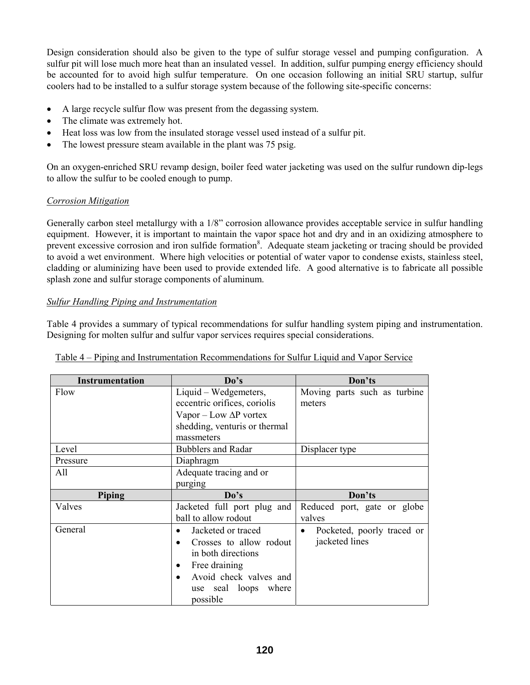Design consideration should also be given to the type of sulfur storage vessel and pumping configuration. A sulfur pit will lose much more heat than an insulated vessel. In addition, sulfur pumping energy efficiency should be accounted for to avoid high sulfur temperature. On one occasion following an initial SRU startup, sulfur coolers had to be installed to a sulfur storage system because of the following site-specific concerns:

- A large recycle sulfur flow was present from the degassing system.
- The climate was extremely hot.
- Heat loss was low from the insulated storage vessel used instead of a sulfur pit.
- The lowest pressure steam available in the plant was 75 psig.

On an oxygen-enriched SRU revamp design, boiler feed water jacketing was used on the sulfur rundown dip-legs to allow the sulfur to be cooled enough to pump.

## *Corrosion Mitigation*

Generally carbon steel metallurgy with a 1/8" corrosion allowance provides acceptable service in sulfur handling equipment. However, it is important to maintain the vapor space hot and dry and in an oxidizing atmosphere to prevent excessive corrosion and iron sulfide formation<sup>8</sup>. Adequate steam jacketing or tracing should be provided to avoid a wet environment. Where high velocities or potential of water vapor to condense exists, stainless steel, cladding or aluminizing have been used to provide extended life. A good alternative is to fabricate all possible splash zone and sulfur storage components of aluminum.

## *Sulfur Handling Piping and Instrumentation*

Table 4 provides a summary of typical recommendations for sulfur handling system piping and instrumentation. Designing for molten sulfur and sulfur vapor services requires special considerations.

| <b>Instrumentation</b> | Do's                                 | Don'ts                          |
|------------------------|--------------------------------------|---------------------------------|
| Flow                   | Liquid – Wedgemeters,                | Moving parts such as turbine    |
|                        | eccentric orifices, coriolis         | meters                          |
|                        | Vapor – Low $\Delta P$ vortex        |                                 |
|                        | shedding, venturis or thermal        |                                 |
|                        | massmeters                           |                                 |
| Level                  | <b>Bubblers and Radar</b>            | Displacer type                  |
| Pressure               | Diaphragm                            |                                 |
| All                    | Adequate tracing and or              |                                 |
|                        | purging                              |                                 |
| Piping                 | Do's                                 | Don'ts                          |
|                        |                                      |                                 |
| Valves                 | Jacketed full port plug and          | Reduced port, gate or globe     |
|                        | ball to allow rodout                 | valves                          |
| General                | Jacketed or traced<br>$\bullet$      | Pocketed, poorly traced or<br>٠ |
|                        | Crosses to allow rodout<br>$\bullet$ | jacketed lines                  |
|                        | in both directions                   |                                 |
|                        | Free draining<br>٠                   |                                 |
|                        | Avoid check valves and<br>$\bullet$  |                                 |
|                        | use seal loops where                 |                                 |

|  | Table 4 – Piping and Instrumentation Recommendations for Sulfur Liquid and Vapor Service |  |
|--|------------------------------------------------------------------------------------------|--|
|  |                                                                                          |  |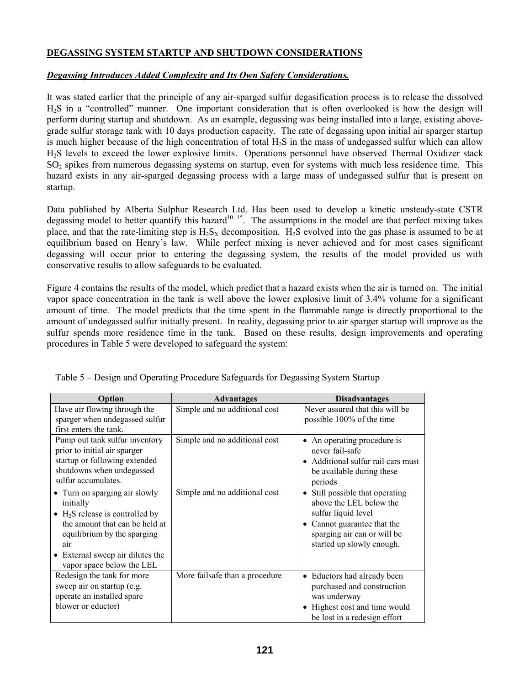## **DEGASSING SYSTEM STARTUP AND SHUTDOWN CONSIDERATIONS**

#### *Degassing Introduces Added Complexity and Its Own Safety Considerations.*

It was stated earlier that the principle of any air-sparged sulfur degasification process is to release the dissolved H<sub>2</sub>S in a "controlled" manner. One important consideration that is often overlooked is how the design will perform during startup and shutdown. As an example, degassing was being installed into a large, existing abovegrade sulfur storage tank with 10 days production capacity. The rate of degassing upon initial air sparger startup is much higher because of the high concentration of total  $H_2S$  in the mass of undegassed sulfur which can allow H2S levels to exceed the lower explosive limits. Operations personnel have observed Thermal Oxidizer stack SO<sub>2</sub> spikes from numerous degassing systems on startup, even for systems with much less residence time. This hazard exists in any air-sparged degassing process with a large mass of undegassed sulfur that is present on startup.

Data published by Alberta Sulphur Research Ltd. Has been used to develop a kinetic unsteady-state CSTR degassing model to better quantify this hazard<sup>10, 15</sup>. The assumptions in the model are that perfect mixing takes place, and that the rate-limiting step is  $H_2S_X$  decomposition.  $H_2S$  evolved into the gas phase is assumed to be at equilibrium based on Henry's law. While perfect mixing is never achieved and for most cases significant degassing will occur prior to entering the degassing system, the results of the model provided us with conservative results to allow safeguards to be evaluated.

Figure 4 contains the results of the model, which predict that a hazard exists when the air is turned on. The initial vapor space concentration in the tank is well above the lower explosive limit of 3.4% volume for a significant amount of time. The model predicts that the time spent in the flammable range is directly proportional to the amount of undegassed sulfur initially present. In reality, degassing prior to air sparger startup will improve as the sulfur spends more residence time in the tank. Based on these results, design improvements and operating procedures in Table 5 were developed to safeguard the system:

| Option                                                                                                                                                                                                                                     | Advantages                     | <b>Disadvantages</b>                                                                                                                                                         |
|--------------------------------------------------------------------------------------------------------------------------------------------------------------------------------------------------------------------------------------------|--------------------------------|------------------------------------------------------------------------------------------------------------------------------------------------------------------------------|
| Have air flowing through the<br>sparger when undegassed sulfur<br>first enters the tank.                                                                                                                                                   | Simple and no additional cost  | Never assured that this will be<br>possible 100% of the time                                                                                                                 |
| Pump out tank sulfur inventory<br>prior to initial air sparger<br>startup or following extended<br>shutdowns when undegassed<br>sulfur accumulates.                                                                                        | Simple and no additional cost  | • An operating procedure is<br>never fail-safe<br>• Additional sulfur rail cars must<br>be available during these<br>periods                                                 |
| • Turn on sparging air slowly<br>initially<br>$\bullet$ H <sub>2</sub> S release is controlled by<br>the amount that can be held at<br>equilibrium by the sparging<br>air<br>• External sweep air dilutes the<br>vapor space below the LEL | Simple and no additional cost  | • Still possible that operating<br>above the LEL below the<br>sulfur liquid level<br>• Cannot guarantee that the<br>sparging air can or will be<br>started up slowly enough. |
| Redesign the tank for more<br>sweep air on startup (e.g.<br>operate an installed spare<br>blower or eductor)                                                                                                                               | More failsafe than a procedure | • Eductors had already been<br>purchased and construction<br>was underway<br>• Highest cost and time would<br>be lost in a redesign effort                                   |

Table 5 – Design and Operating Procedure Safeguards for Degassing System Startup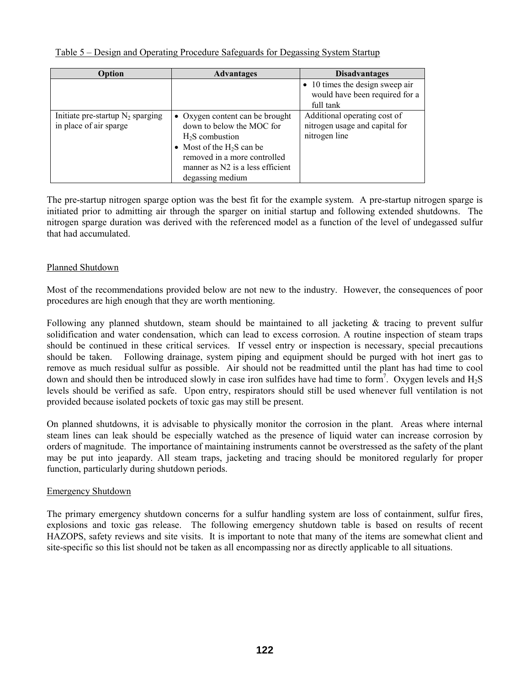| Table 5 – Design and Operating Procedure Safeguards for Degassing System Startup |  |  |
|----------------------------------------------------------------------------------|--|--|
|                                                                                  |  |  |

| Option                                                        | <b>Advantages</b>                                                                                                                                                                                       | <b>Disadvantages</b>                                                                   |
|---------------------------------------------------------------|---------------------------------------------------------------------------------------------------------------------------------------------------------------------------------------------------------|----------------------------------------------------------------------------------------|
|                                                               |                                                                                                                                                                                                         | $\bullet$ 10 times the design sweep air<br>would have been required for a<br>full tank |
| Initiate pre-startup $N_2$ sparging<br>in place of air sparge | • Oxygen content can be brought<br>down to below the MOC for<br>$H2S$ combustion<br>• Most of the $H_2S$ can be<br>removed in a more controlled<br>manner as N2 is a less efficient<br>degassing medium | Additional operating cost of<br>nitrogen usage and capital for<br>nitrogen line        |

The pre-startup nitrogen sparge option was the best fit for the example system. A pre-startup nitrogen sparge is initiated prior to admitting air through the sparger on initial startup and following extended shutdowns. The nitrogen sparge duration was derived with the referenced model as a function of the level of undegassed sulfur that had accumulated.

## Planned Shutdown

Most of the recommendations provided below are not new to the industry. However, the consequences of poor procedures are high enough that they are worth mentioning.

Following any planned shutdown, steam should be maintained to all jacketing & tracing to prevent sulfur solidification and water condensation, which can lead to excess corrosion. A routine inspection of steam traps should be continued in these critical services. If vessel entry or inspection is necessary, special precautions should be taken. Following drainage, system piping and equipment should be purged with hot inert gas to remove as much residual sulfur as possible. Air should not be readmitted until the plant has had time to cool down and should then be introduced slowly in case iron sulfides have had time to form<sup>7</sup>. Oxygen levels and  $H_2S$ levels should be verified as safe. Upon entry, respirators should still be used whenever full ventilation is not provided because isolated pockets of toxic gas may still be present.

On planned shutdowns, it is advisable to physically monitor the corrosion in the plant. Areas where internal steam lines can leak should be especially watched as the presence of liquid water can increase corrosion by orders of magnitude. The importance of maintaining instruments cannot be overstressed as the safety of the plant may be put into jeapardy. All steam traps, jacketing and tracing should be monitored regularly for proper function, particularly during shutdown periods.

## Emergency Shutdown

The primary emergency shutdown concerns for a sulfur handling system are loss of containment, sulfur fires, explosions and toxic gas release. The following emergency shutdown table is based on results of recent HAZOPS, safety reviews and site visits. It is important to note that many of the items are somewhat client and site-specific so this list should not be taken as all encompassing nor as directly applicable to all situations.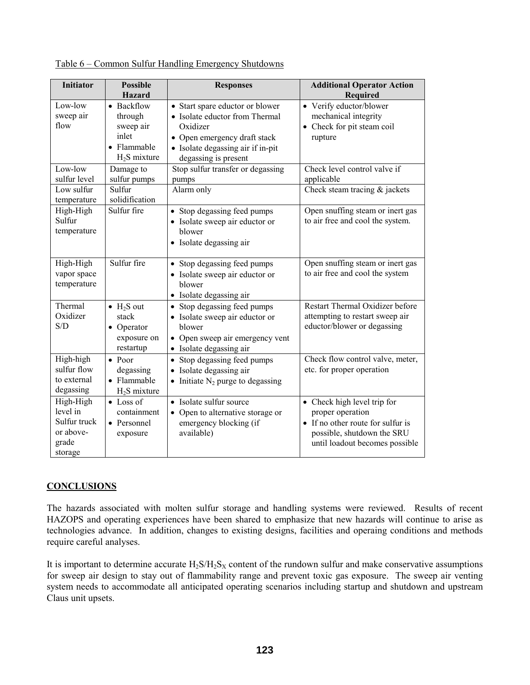| <b>Initiator</b>                                                                                            | <b>Possible</b><br><b>Hazard</b>                                                                                                                     | <b>Responses</b>                                                                                                                                                                                                                                                                                        | <b>Additional Operator Action</b><br>Required                                                                                                                                                                                                     |
|-------------------------------------------------------------------------------------------------------------|------------------------------------------------------------------------------------------------------------------------------------------------------|---------------------------------------------------------------------------------------------------------------------------------------------------------------------------------------------------------------------------------------------------------------------------------------------------------|---------------------------------------------------------------------------------------------------------------------------------------------------------------------------------------------------------------------------------------------------|
| Low-low<br>sweep air<br>flow<br>Low-low<br>sulfur level<br>Low sulfur<br>temperature<br>High-High<br>Sulfur | • Backflow<br>through<br>sweep air<br>inlet<br>• Flammable<br>$H_2S$ mixture<br>Damage to<br>sulfur pumps<br>Sulfur<br>solidification<br>Sulfur fire | • Start spare eductor or blower<br>• Isolate eductor from Thermal<br>Oxidizer<br>• Open emergency draft stack<br>• Isolate degassing air if in-pit<br>degassing is present<br>Stop sulfur transfer or degassing<br>pumps<br>Alarm only<br>• Stop degassing feed pumps<br>• Isolate sweep air eductor or | • Verify eductor/blower<br>mechanical integrity<br>• Check for pit steam coil<br>rupture<br>Check level control valve if<br>applicable<br>Check steam tracing $&$ jackets<br>Open snuffing steam or inert gas<br>to air free and cool the system. |
| temperature<br>High-High<br>vapor space<br>temperature                                                      | Sulfur fire                                                                                                                                          | blower<br>• Isolate degassing air<br>• Stop degassing feed pumps<br>• Isolate sweep air eductor or<br>blower<br>• Isolate degassing air                                                                                                                                                                 | Open snuffing steam or inert gas<br>to air free and cool the system                                                                                                                                                                               |
| Thermal<br>Oxidizer<br>S/D                                                                                  | $\bullet$ H <sub>2</sub> S out<br>stack<br>• Operator<br>exposure on<br>restartup                                                                    | • Stop degassing feed pumps<br>• Isolate sweep air eductor or<br>blower<br>• Open sweep air emergency vent<br>• Isolate degassing air                                                                                                                                                                   | Restart Thermal Oxidizer before<br>attempting to restart sweep air<br>eductor/blower or degassing                                                                                                                                                 |
| High-high<br>sulfur flow<br>to external<br>degassing                                                        | $\bullet$ Poor<br>degassing<br>• Flammable<br>$H2S$ mixture                                                                                          | • Stop degassing feed pumps<br>• Isolate degassing air<br>• Initiate $N_2$ purge to degassing                                                                                                                                                                                                           | Check flow control valve, meter,<br>etc. for proper operation                                                                                                                                                                                     |
| High-High<br>level in<br>Sulfur truck<br>or above-<br>grade<br>storage                                      | $\bullet$ Loss of<br>containment<br>• Personnel<br>exposure                                                                                          | • Isolate sulfur source<br>• Open to alternative storage or<br>emergency blocking (if<br>available)                                                                                                                                                                                                     | • Check high level trip for<br>proper operation<br>• If no other route for sulfur is<br>possible, shutdown the SRU<br>until loadout becomes possible                                                                                              |

Table 6 – Common Sulfur Handling Emergency Shutdowns

#### **CONCLUSIONS**

The hazards associated with molten sulfur storage and handling systems were reviewed. Results of recent HAZOPS and operating experiences have been shared to emphasize that new hazards will continue to arise as technologies advance. In addition, changes to existing designs, facilities and operaing conditions and methods require careful analyses.

It is important to determine accurate  $H_2S/H_2S_X$  content of the rundown sulfur and make conservative assumptions for sweep air design to stay out of flammability range and prevent toxic gas exposure. The sweep air venting system needs to accommodate all anticipated operating scenarios including startup and shutdown and upstream Claus unit upsets.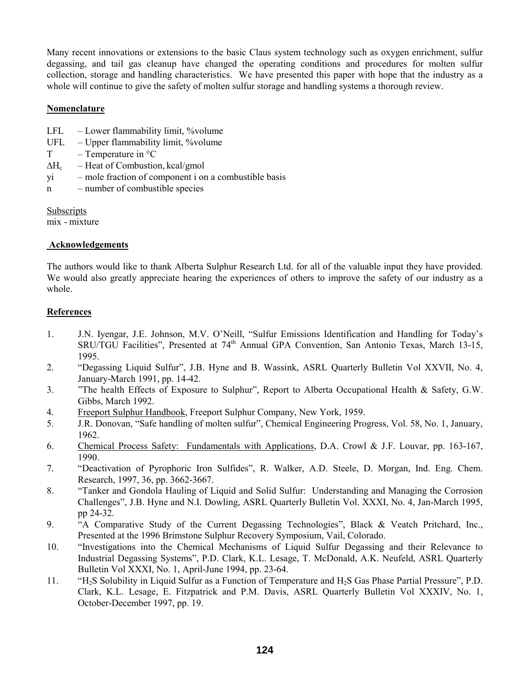Many recent innovations or extensions to the basic Claus system technology such as oxygen enrichment, sulfur degassing, and tail gas cleanup have changed the operating conditions and procedures for molten sulfur collection, storage and handling characteristics. We have presented this paper with hope that the industry as a whole will continue to give the safety of molten sulfur storage and handling systems a thorough review.

#### **Nomenclature**

- LFL  $-$  Lower flammability limit, %volume
- $UFL Upper flammability limit, %volume$
- $T Temperature in °C$
- $\Delta H_c$  Heat of Combustion, kcal/gmol
- $yi$  mole fraction of component i on a combustible basis
- n number of combustible species

Subscripts

mix - mixture

## **Acknowledgements**

The authors would like to thank Alberta Sulphur Research Ltd. for all of the valuable input they have provided. We would also greatly appreciate hearing the experiences of others to improve the safety of our industry as a whole.

## **References**

- 1. J.N. Iyengar, J.E. Johnson, M.V. O'Neill, "Sulfur Emissions Identification and Handling for Today's SRU/TGU Facilities", Presented at 74<sup>th</sup> Annual GPA Convention, San Antonio Texas, March 13-15, 1995.
- 2. <sup>"</sup>Degassing Liquid Sulfur", J.B. Hyne and B. Wassink, ASRL Quarterly Bulletin Vol XXVII, No. 4, January-March 1991, pp. 14-42.
- 3. <sup>7</sup>The health Effects of Exposure to Sulphur<sup>3</sup>, Report to Alberta Occupational Health & Safety, G.W. Gibbs, March 1992.
- 4. Freeport Sulphur Handbook, Freeport Sulphur Company, New York, 1959.
- 5. J.R. Donovan, "Safe handling of molten sulfur", Chemical Engineering Progress, Vol. 58, No. 1, January, 1962.
- 6. Chemical Process Safety: Fundamentals with Applications, D.A. Crowl & J.F. Louvar, pp. 163-167, 1990.
- 7. *iDeactivation of Pyrophoric Iron Sulfides*, R. Walker, A.D. Steele, D. Morgan, Ind. Eng. Chem. Research, 1997, 36, pp. 3662-3667.
- 8. <sup>**iTanker and Gondola Hauling of Liquid and Solid Sulfur: Understanding and Managing the Corrosion**</sup> Challengesî, J.B. Hyne and N.I. Dowling, ASRL Quarterly Bulletin Vol. XXXI, No. 4, Jan-March 1995, pp 24-32.
- 9. **Exercise** Study of the Current Degassing Technologies<sup>"</sup>, Black & Veatch Pritchard, Inc., Presented at the 1996 Brimstone Sulphur Recovery Symposium, Vail, Colorado.
- 10. *iInvestigations into the Chemical Mechanisms of Liquid Sulfur Degassing and their Relevance to* Industrial Degassing Systems", P.D. Clark, K.L. Lesage, T. McDonald, A.K. Neufeld, ASRL Quarterly Bulletin Vol XXXI, No. 1, April-June 1994, pp. 23-64.
- 11.  $H_2S$  Solubility in Liquid Sulfur as a Function of Temperature and H<sub>2</sub>S Gas Phase Partial Pressure", P.D. Clark, K.L. Lesage, E. Fitzpatrick and P.M. Davis, ASRL Quarterly Bulletin Vol XXXIV, No. 1, October-December 1997, pp. 19.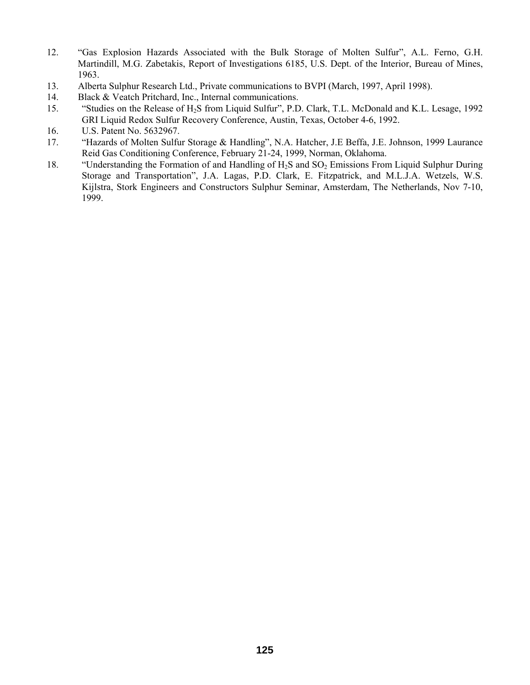- 12. "Gas Explosion Hazards Associated with the Bulk Storage of Molten Sulfur", A.L. Ferno, G.H. Martindill, M.G. Zabetakis, Report of Investigations 6185, U.S. Dept. of the Interior, Bureau of Mines, 1963.
- 13. Alberta Sulphur Research Ltd., Private communications to BVPI (March, 1997, April 1998).
- 14. Black & Veatch Pritchard, Inc., Internal communications.
- 15. "Studies on the Release of H<sub>2</sub>S from Liquid Sulfur", P.D. Clark, T.L. McDonald and K.L. Lesage, 1992 GRI Liquid Redox Sulfur Recovery Conference, Austin, Texas, October 4-6, 1992.
- 16. U.S. Patent No. 5632967.
- 17. **ideology** "Hazards of Molten Sulfur Storage & Handling", N.A. Hatcher, J.E Beffa, J.E. Johnson, 1999 Laurance Reid Gas Conditioning Conference, February 21-24, 1999, Norman, Oklahoma.
- 18. "Understanding the Formation of and Handling of  $H_2S$  and  $SO_2$  Emissions From Liquid Sulphur During Storage and Transportation", J.A. Lagas, P.D. Clark, E. Fitzpatrick, and M.L.J.A. Wetzels, W.S. Kijlstra, Stork Engineers and Constructors Sulphur Seminar, Amsterdam, The Netherlands, Nov 7-10, 1999.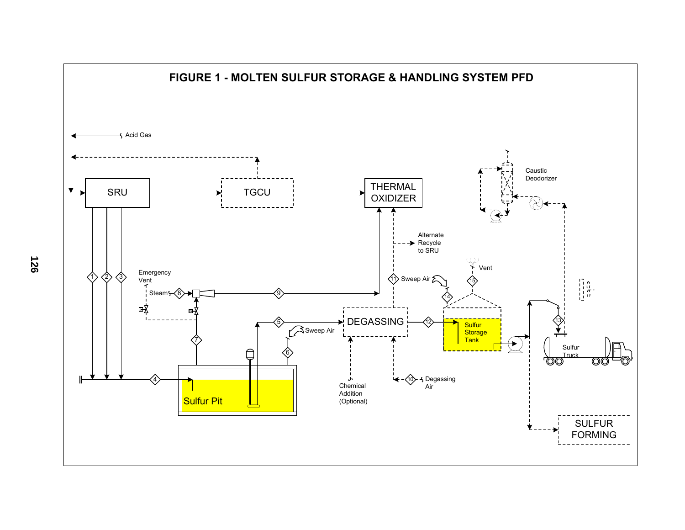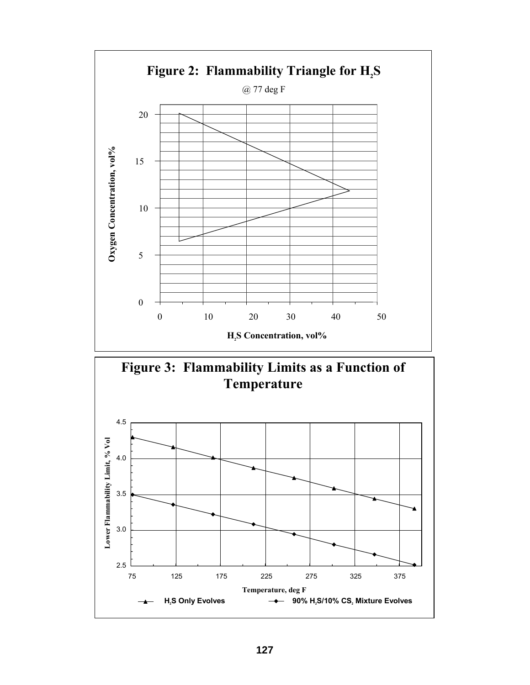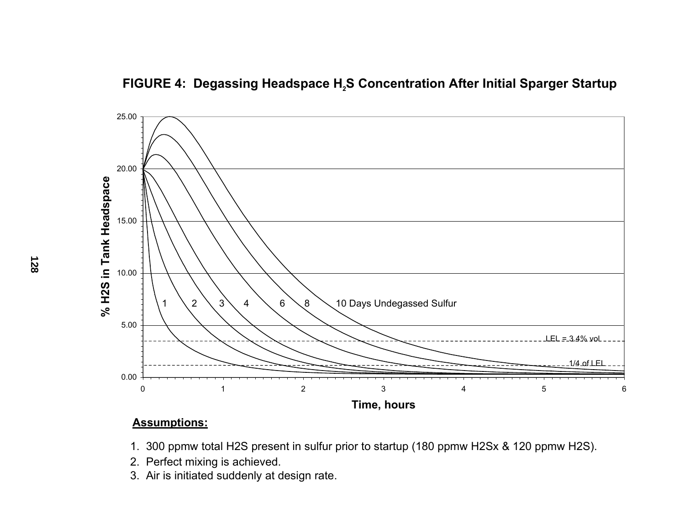



## **Assumptions:**

- 1. 300 ppmw total H2S present in sulfur prior to startup (180 ppmw H2Sx & 120 ppmw H2S).
- 2. Perfect mixing is achieved.
- 3. Air is initiated suddenly at design rate.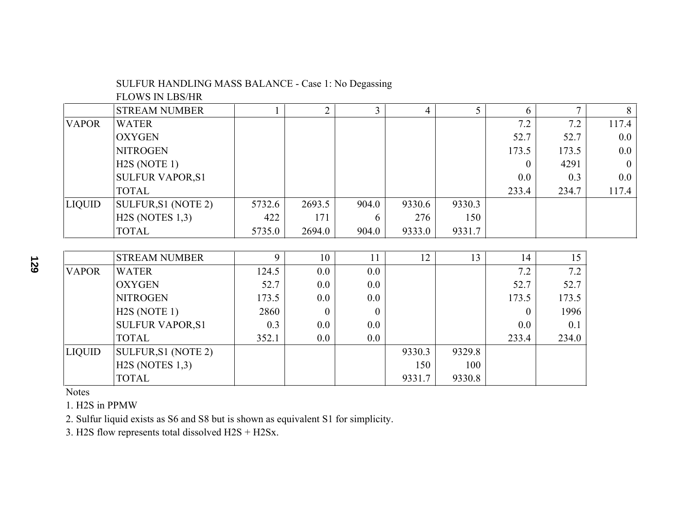## SULFUR HANDLING MASS BALANCE - Case 1: No Degassing

FLOWS IN LBS/HR

|               | <b>STREAM NUMBER</b>      |        | $\overline{2}$   | 3                | $\overline{4}$ | 5      | 6        | $\mathcal{I}$ | 8              |
|---------------|---------------------------|--------|------------------|------------------|----------------|--------|----------|---------------|----------------|
| <b>VAPOR</b>  | <b>WATER</b>              |        |                  |                  |                |        | 7.2      | 7.2           | 117.4          |
|               | <b>OXYGEN</b>             |        |                  |                  |                |        | 52.7     | 52.7          | $0.0\,$        |
|               | <b>NITROGEN</b>           |        |                  |                  |                |        | 173.5    | 173.5         | $0.0\,$        |
|               | H2S (NOTE 1)              |        |                  |                  |                |        | $\Omega$ | 4291          | $\overline{0}$ |
|               | <b>SULFUR VAPOR, S1</b>   |        |                  |                  |                |        | 0.0      | 0.3           | $0.0\,$        |
|               | <b>TOTAL</b>              |        |                  |                  |                |        | 233.4    | 234.7         | 117.4          |
| <b>LIQUID</b> | SULFUR, S1 (NOTE 2)       | 5732.6 | 2693.5           | 904.0            | 9330.6         | 9330.3 |          |               |                |
|               | H2S (NOTES 1,3)           | 422    | 171              | 6                | 276            | 150    |          |               |                |
|               | <b>TOTAL</b>              | 5735.0 | 2694.0           | 904.0            | 9333.0         | 9331.7 |          |               |                |
|               |                           |        |                  |                  |                |        |          |               |                |
|               | <b>STREAM NUMBER</b>      | 9      | 10               | 11               | 12             | 13     | 14       | 15            |                |
| <b>VAPOR</b>  | <b>WATER</b>              | 124.5  | $0.0\,$          | 0.0              |                |        | 7.2      | 7.2           |                |
|               | <b>OXYGEN</b>             | 52.7   | $0.0\,$          | 0.0              |                |        | 52.7     | 52.7          |                |
|               | <b>NITROGEN</b>           | 173.5  | $0.0\,$          | 0.0              |                |        | 173.5    | 173.5         |                |
|               | H <sub>2</sub> S (NOTE 1) | 2860   | $\boldsymbol{0}$ | $\boldsymbol{0}$ |                |        | $\theta$ | 1996          |                |

SULFUR VAPOR,S1 0.3 0.0 0.0 0.0 0.1  $\text{TOTAL}$   $\qquad \qquad \qquad | \qquad 352.1 \qquad \qquad 0.0 \qquad \qquad 0.0 \qquad \qquad | \qquad \qquad 233.4 \qquad \qquad 234.0$ 

234.0

9330.8

Notes

1. H2S in PPMW

2. Sulfur liquid exists as S6 and S8 but is shown as equivalent S1 for simplicity.

LIQUID SULFUR, S1 (NOTE 2) 9330.3 9329.8

 $H2S (NOTES 1,3)$  150 100 TOTAL 9331.7 9330.8

3. H2S flow represents total dissolved H2S + H2Sx.